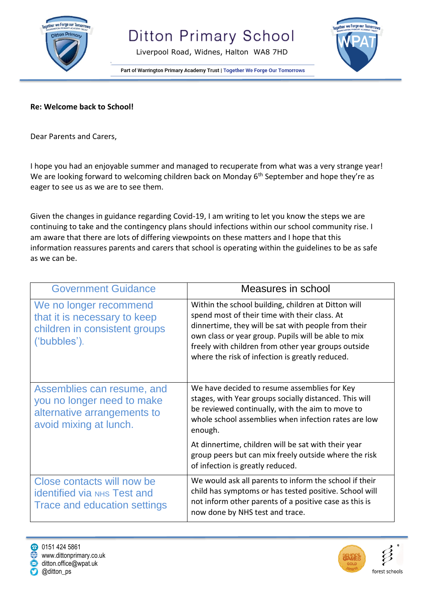

Liverpool Road, Widnes, Halton WA8 7HD



Part of Warrington Primary Academy Trust | Together We Forge Our Tomorrows

## **Re: Welcome back to School!**

Dear Parents and Carers,

I hope you had an enjoyable summer and managed to recuperate from what was a very strange year! We are looking forward to welcoming children back on Monday 6<sup>th</sup> September and hope they're as eager to see us as we are to see them.

Given the changes in guidance regarding Covid-19, I am writing to let you know the steps we are continuing to take and the contingency plans should infections within our school community rise. I am aware that there are lots of differing viewpoints on these matters and I hope that this information reassures parents and carers that school is operating within the guidelines to be as safe as we can be.

| <b>Government Guidance</b>                                                                                        | Measures in school                                                                                                                                                                                                                                                                                                           |
|-------------------------------------------------------------------------------------------------------------------|------------------------------------------------------------------------------------------------------------------------------------------------------------------------------------------------------------------------------------------------------------------------------------------------------------------------------|
| We no longer recommend<br>that it is necessary to keep<br>children in consistent groups<br>('bubbles').           | Within the school building, children at Ditton will<br>spend most of their time with their class. At<br>dinnertime, they will be sat with people from their<br>own class or year group. Pupils will be able to mix<br>freely with children from other year groups outside<br>where the risk of infection is greatly reduced. |
| Assemblies can resume, and<br>you no longer need to make<br>alternative arrangements to<br>avoid mixing at lunch. | We have decided to resume assemblies for Key<br>stages, with Year groups socially distanced. This will<br>be reviewed continually, with the aim to move to<br>whole school assemblies when infection rates are low<br>enough.                                                                                                |
|                                                                                                                   | At dinnertime, children will be sat with their year<br>group peers but can mix freely outside where the risk<br>of infection is greatly reduced.                                                                                                                                                                             |
| Close contacts will now be<br><b>identified via NHS Test and</b><br>Trace and education settings                  | We would ask all parents to inform the school if their<br>child has symptoms or has tested positive. School will<br>not inform other parents of a positive case as this is<br>now done by NHS test and trace.                                                                                                                |



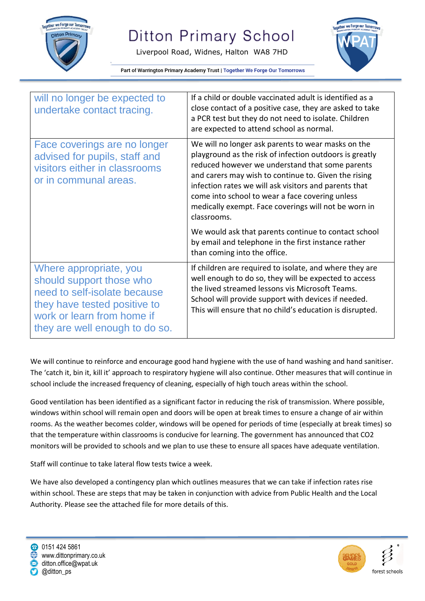

Liverpool Road, Widnes, Halton WA8 7HD



Part of Warrington Primary Academy Trust | Together We Forge Our Tomorrows

| will no longer be expected to<br>undertake contact tracing.                                                                                                                        | If a child or double vaccinated adult is identified as a<br>close contact of a positive case, they are asked to take<br>a PCR test but they do not need to isolate. Children<br>are expected to attend school as normal.                                                                                                                                                                                    |
|------------------------------------------------------------------------------------------------------------------------------------------------------------------------------------|-------------------------------------------------------------------------------------------------------------------------------------------------------------------------------------------------------------------------------------------------------------------------------------------------------------------------------------------------------------------------------------------------------------|
| Face coverings are no longer<br>advised for pupils, staff and<br>visitors either in classrooms<br>or in communal areas.                                                            | We will no longer ask parents to wear masks on the<br>playground as the risk of infection outdoors is greatly<br>reduced however we understand that some parents<br>and carers may wish to continue to. Given the rising<br>infection rates we will ask visitors and parents that<br>come into school to wear a face covering unless<br>medically exempt. Face coverings will not be worn in<br>classrooms. |
|                                                                                                                                                                                    | We would ask that parents continue to contact school<br>by email and telephone in the first instance rather<br>than coming into the office.                                                                                                                                                                                                                                                                 |
| Where appropriate, you<br>should support those who<br>need to self-isolate because<br>they have tested positive to<br>work or learn from home if<br>they are well enough to do so. | If children are required to isolate, and where they are<br>well enough to do so, they will be expected to access<br>the lived streamed lessons vis Microsoft Teams.<br>School will provide support with devices if needed.<br>This will ensure that no child's education is disrupted.                                                                                                                      |

We will continue to reinforce and encourage good hand hygiene with the use of hand washing and hand sanitiser. The 'catch it, bin it, kill it' approach to respiratory hygiene will also continue. Other measures that will continue in school include the increased frequency of cleaning, especially of high touch areas within the school.

Good ventilation has been identified as a significant factor in reducing the risk of transmission. Where possible, windows within school will remain open and doors will be open at break times to ensure a change of air within rooms. As the weather becomes colder, windows will be opened for periods of time (especially at break times) so that the temperature within classrooms is conducive for learning. The government has announced that CO2 monitors will be provided to schools and we plan to use these to ensure all spaces have adequate ventilation.

Staff will continue to take lateral flow tests twice a week.

We have also developed a contingency plan which outlines measures that we can take if infection rates rise within school. These are steps that may be taken in conjunction with advice from Public Health and the Local Authority. Please see the attached file for more details of this.